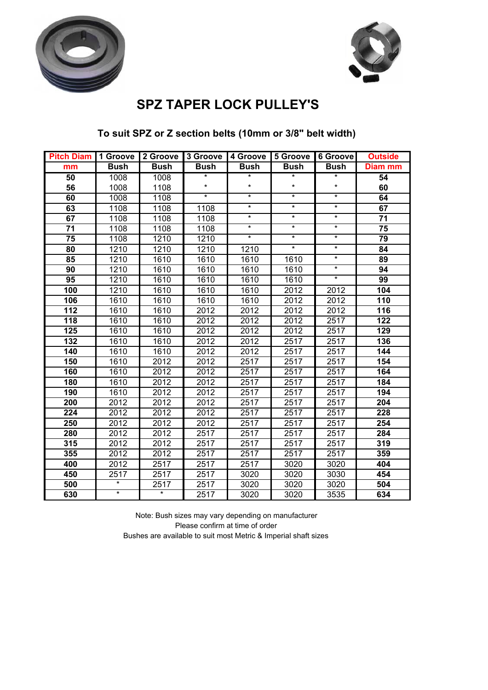



### **SPZ TAPER LOCK PULLEY'S**

| <b>Pitch Diam</b> | 1 Groove    | 2 Groove    | 3 Groove | 4 Groove    | 5 Groove    | 6 Groove    | <b>Outside</b> |
|-------------------|-------------|-------------|----------|-------------|-------------|-------------|----------------|
| mm                | <b>Bush</b> | <b>Bush</b> | Bush     | <b>Bush</b> | <b>Bush</b> | <b>Bush</b> | <b>Diam mm</b> |
| 50                | 1008        | 1008        | $^\star$ | $^\star$    | *           | *           | 54             |
| 56                | 1008        | 1108        | $\star$  | $^\star$    | $\star$     | ¥           | 60             |
| 60                | 1008        | 1108        | $\star$  | $^\star$    | $\star$     | ¥           | 64             |
| 63                | 1108        | 1108        | 1108     | $\star$     | $\star$     | ¥           | 67             |
| 67                | 1108        | 1108        | 1108     | $^\star$    | $\star$     | $\star$     | 71             |
| 71                | 1108        | 1108        | 1108     | $^\star$    | $^\star$    | $\star$     | 75             |
| 75                | 1108        | 1210        | 1210     | $\star$     | $\star$     | $\star$     | 79             |
| 80                | 1210        | 1210        | 1210     | 1210        | $\star$     | $\star$     | 84             |
| 85                | 1210        | 1610        | 1610     | 1610        | 1610        | $\star$     | 89             |
| 90                | 1210        | 1610        | 1610     | 1610        | 1610        | ¥           | 94             |
| 95                | 1210        | 1610        | 1610     | 1610        | 1610        | $\star$     | 99             |
| 100               | 1210        | 1610        | 1610     | 1610        | 2012        | 2012        | 104            |
| 106               | 1610        | 1610        | 1610     | 1610        | 2012        | 2012        | 110            |
| 112               | 1610        | 1610        | 2012     | 2012        | 2012        | 2012        | 116            |
| 118               | 1610        | 1610        | 2012     | 2012        | 2012        | 2517        | 122            |
| 125               | 1610        | 1610        | 2012     | 2012        | 2012        | 2517        | 129            |
| 132               | 1610        | 1610        | 2012     | 2012        | 2517        | 2517        | 136            |
| 140               | 1610        | 1610        | 2012     | 2012        | 2517        | 2517        | 144            |
| 150               | 1610        | 2012        | 2012     | 2517        | 2517        | 2517        | 154            |
| 160               | 1610        | 2012        | 2012     | 2517        | 2517        | 2517        | 164            |
| 180               | 1610        | 2012        | 2012     | 2517        | 2517        | 2517        | 184            |
| 190               | 1610        | 2012        | 2012     | 2517        | 2517        | 2517        | 194            |
| 200               | 2012        | 2012        | 2012     | 2517        | 2517        | 2517        | 204            |
| 224               | 2012        | 2012        | 2012     | 2517        | 2517        | 2517        | 228            |
| 250               | 2012        | 2012        | 2012     | 2517        | 2517        | 2517        | 254            |
| 280               | 2012        | 2012        | 2517     | 2517        | 2517        | 2517        | 284            |
| 315               | 2012        | 2012        | 2517     | 2517        | 2517        | 2517        | 319            |
| 355               | 2012        | 2012        | 2517     | 2517        | 2517        | 2517        | 359            |
| 400               | 2012        | 2517        | 2517     | 2517        | 3020        | 3020        | 404            |
| 450               | 2517        | 2517        | 2517     | 3020        | 3020        | 3030        | 454            |
| 500               | ¥           | 2517        | 2517     | 3020        | 3020        | 3020        | 504            |
| 630               | ¥           | *           | 2517     | 3020        | 3020        | 3535        | 634            |

### **To suit SPZ or Z section belts (10mm or 3/8" belt width)**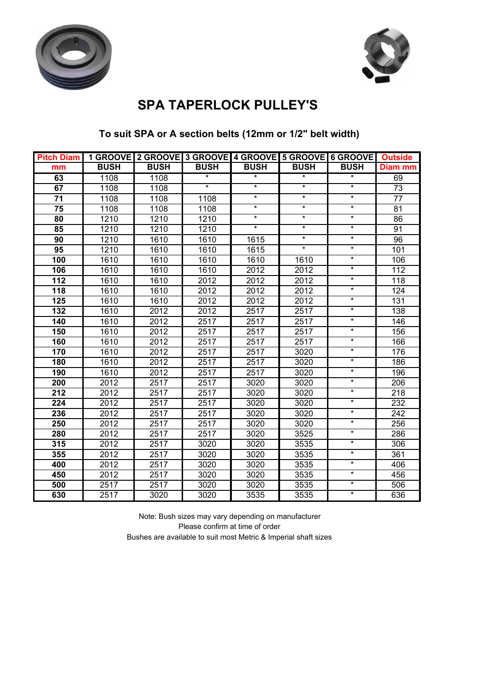



### **SPA TAPERLOCK PULLEY'S**

### **To suit SPA or A section belts (12mm or 1/2" belt width)**

| <b>Pitch Diam</b> |             |             |             |             | 1 GROOVE 2 GROOVE 3 GROOVE 4 GROOVE 5 GROOVE 6 GROOVE |             | <b>Outside</b> |
|-------------------|-------------|-------------|-------------|-------------|-------------------------------------------------------|-------------|----------------|
| mm                | <b>BUSH</b> | <b>BUSH</b> | <b>BUSH</b> | <b>BUSH</b> | <b>BUSH</b>                                           | <b>BUSH</b> | Diam mm        |
| 63                | 1108        | 1108        | $\star$     | $^\star$    | $\ast$                                                | $\star$     | 69             |
| 67                | 1108        | 1108        | $\star$     | $\star$     | $\star$                                               | $\star$     | 73             |
| $\overline{71}$   | 1108        | 1108        | 1108        | $\star$     | $\star$                                               | $\star$     | 77             |
| 75                | 1108        | 1108        | 1108        | $\star$     | $^\star$                                              | $\star$     | 81             |
| 80                | 1210        | 1210        | 1210        | $\ast$      | $\star$                                               | $\star$     | 86             |
| 85                | 1210        | 1210        | 1210        | $\star$     | $\star$                                               | $\star$     | 91             |
| 90                | 1210        | 1610        | 1610        | 1615        | $\star$                                               | $\star$     | 96             |
| 95                | 1210        | 1610        | 1610        | 1615        | $\star$                                               | $\star$     | 101            |
| 100               | 1610        | 1610        | 1610        | 1610        | 1610                                                  | $\star$     | 106            |
| 106               | 1610        | 1610        | 1610        | 2012        | 2012                                                  | $\star$     | 112            |
| 112               | 1610        | 1610        | 2012        | 2012        | 2012                                                  | $\star$     | 118            |
| 118               | 1610        | 1610        | 2012        | 2012        | 2012                                                  | $\star$     | 124            |
| 125               | 1610        | 1610        | 2012        | 2012        | 2012                                                  | $\ast$      | 131            |
| 132               | 1610        | 2012        | 2012        | 2517        | 2517                                                  | $\star$     | 138            |
| 140               | 1610        | 2012        | 2517        | 2517        | 2517                                                  | $\star$     | 146            |
| 150               | 1610        | 2012        | 2517        | 2517        | 2517                                                  | $\star$     | 156            |
| 160               | 1610        | 2012        | 2517        | 2517        | 2517                                                  | $\star$     | 166            |
| 170               | 1610        | 2012        | 2517        | 2517        | 3020                                                  | $\star$     | 176            |
| 180               | 1610        | 2012        | 2517        | 2517        | 3020                                                  | $\ast$      | 186            |
| 190               | 1610        | 2012        | 2517        | 2517        | 3020                                                  | $\star$     | 196            |
| 200               | 2012        | 2517        | 2517        | 3020        | 3020                                                  | $\star$     | 206            |
| 212               | 2012        | 2517        | 2517        | 3020        | 3020                                                  | $\star$     | 218            |
| 224               | 2012        | 2517        | 2517        | 3020        | 3020                                                  | $\star$     | 232            |
| 236               | 2012        | 2517        | 2517        | 3020        | 3020                                                  | $\star$     | 242            |
| 250               | 2012        | 2517        | 2517        | 3020        | 3020                                                  | $\star$     | 256            |
| 280               | 2012        | 2517        | 2517        | 3020        | 3525                                                  | $\star$     | 286            |
| 315               | 2012        | 2517        | 3020        | 3020        | 3535                                                  | $\star$     | 306            |
| 355               | 2012        | 2517        | 3020        | 3020        | 3535                                                  | $\star$     | 361            |
| 400               | 2012        | 2517        | 3020        | 3020        | 3535                                                  | $\star$     | 406            |
| 450               | 2012        | 2517        | 3020        | 3020        | 3535                                                  | $\star$     | 456            |
| 500               | 2517        | 2517        | 3020        | 3020        | 3535                                                  | $\star$     | 506            |
| 630               | 2517        | 3020        | 3020        | 3535        | 3535                                                  | $\star$     | 636            |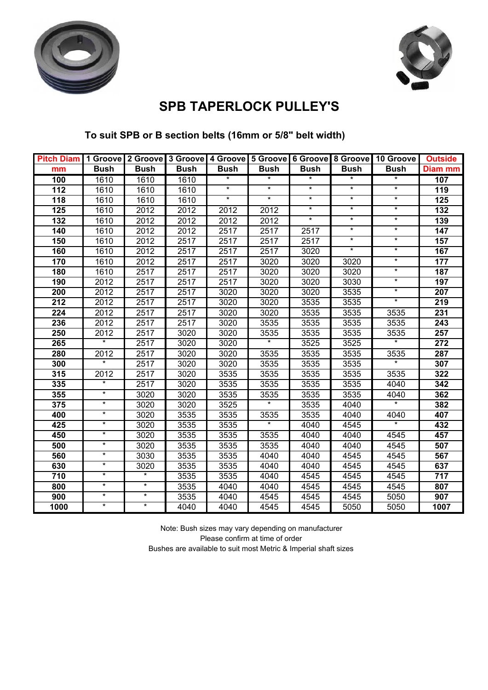



# **SPB TAPERLOCK PULLEY'S**

### **To suit SPB or B section belts (16mm or 5/8" belt width)**

| Pitch Diam   1 Groove   2 Groove   3 Groove   4 Groove   5 Groove   6 Groove   8 Groove   10 Groove |             |             |             |             |             |             |             |                   | <b>Outside</b> |
|-----------------------------------------------------------------------------------------------------|-------------|-------------|-------------|-------------|-------------|-------------|-------------|-------------------|----------------|
| mm                                                                                                  | <b>Bush</b> | <b>Bush</b> | <b>Bush</b> | <b>Bush</b> | <b>Bush</b> | <b>Bush</b> | <b>Bush</b> | <b>Bush</b>       | Diam mm        |
| 100                                                                                                 | 1610        | 1610        | 1610        | $\ast$      | $\star$     | $\ast$      | $\ast$      | $\ast$            | 107            |
| 112                                                                                                 | 1610        | 1610        | 1610        | $\star$     | $^\star$    | $^\star$    | $^\star$    | $\star$           | 119            |
| 118                                                                                                 | 1610        | 1610        | 1610        | $\star$     | $\ast$      | $\star$     | $\star$     | $\star$           | 125            |
| 125                                                                                                 | 1610        | 2012        | 2012        | 2012        | 2012        | $^\star$    | $\star$     | $\star$           | 132            |
| 132                                                                                                 | 1610        | 2012        | 2012        | 2012        | 2012        | $\star$     | $\star$     | $\star$           | 139            |
| 140                                                                                                 | 1610        | 2012        | 2012        | 2517        | 2517        | 2517        | $\star$     | $\star$           | 147            |
| 150                                                                                                 | 1610        | 2012        | 2517        | 2517        | 2517        | 2517        | $\star$     | $\star$           | 157            |
| 160                                                                                                 | 1610        | 2012        | 2517        | 2517        | 2517        | 3020        | $\star$     | $\star$           | 167            |
| 170                                                                                                 | 1610        | 2012        | 2517        | 2517        | 3020        | 3020        | 3020        | $\ast$            | 177            |
| 180                                                                                                 | 1610        | 2517        | 2517        | 2517        | 3020        | 3020        | 3020        | $\star$           | 187            |
| 190                                                                                                 | 2012        | 2517        | 2517        | 2517        | 3020        | 3020        | 3030        | $\star$           | 197            |
| 200                                                                                                 | 2012        | 2517        | 2517        | 3020        | 3020        | 3020        | 3535        | $\star$           | 207            |
| 212                                                                                                 | 2012        | 2517        | 2517        | 3020        | 3020        | 3535        | 3535        | $\star$           | 219            |
| 224                                                                                                 | 2012        | 2517        | 2517        | 3020        | 3020        | 3535        | 3535        | 3535              | 231            |
| 236                                                                                                 | 2012        | 2517        | 2517        | 3020        | 3535        | 3535        | 3535        | 3535              | 243            |
| 250                                                                                                 | 2012        | 2517        | 3020        | 3020        | 3535        | 3535        | 3535        | 3535              | 257            |
| 265                                                                                                 | $^\star$    | 2517        | 3020        | 3020        | ¥           | 3525        | 3525        | $\star$           | 272            |
| 280                                                                                                 | 2012        | 2517        | 3020        | 3020        | 3535        | 3535        | 3535        | 3535              | 287            |
| 300                                                                                                 | $\star$     | 2517        | 3020        | 3020        | 3535        | 3535        | 3535        | $\star$           | 307            |
| 315                                                                                                 | 2012        | 2517        | 3020        | 3535        | 3535        | 3535        | 3535        | 3535              | 322            |
| 335                                                                                                 | $\star$     | 2517        | 3020        | 3535        | 3535        | 3535        | 3535        | 4040              | 342            |
| 355                                                                                                 | $\star$     | 3020        | 3020        | 3535        | 3535        | 3535        | 3535        | 4040              | 362            |
| 375                                                                                                 | $^\star$    | 3020        | 3020        | 3525        |             | 3535        | 4040        | $\overline{\ast}$ | 382            |
| 400                                                                                                 | $\star$     | 3020        | 3535        | 3535        | 3535        | 3535        | 4040        | 4040              | 407            |
| 425                                                                                                 | $^\star$    | 3020        | 3535        | 3535        | $\star$     | 4040        | 4545        | $\star$           | 432            |
| 450                                                                                                 | $\star$     | 3020        | 3535        | 3535        | 3535        | 4040        | 4040        | 4545              | 457            |
| 500                                                                                                 | $\star$     | 3020        | 3535        | 3535        | 3535        | 4040        | 4040        | 4545              | 507            |
| 560                                                                                                 | *           | 3030        | 3535        | 3535        | 4040        | 4040        | 4545        | 4545              | 567            |
| 630                                                                                                 | $\star$     | 3020        | 3535        | 3535        | 4040        | 4040        | 4545        | 4545              | 637            |
| 710                                                                                                 | $^\star$    | $\star$     | 3535        | 3535        | 4040        | 4545        | 4545        | 4545              | 717            |
| 800                                                                                                 | $^\star$    | $\star$     | 3535        | 4040        | 4040        | 4545        | 4545        | 4545              | 807            |
| 900                                                                                                 | $^\star$    | $\star$     | 3535        | 4040        | 4545        | 4545        | 4545        | 5050              | 907            |
| 1000                                                                                                | $\star$     | $\ast$      | 4040        | 4040        | 4545        | 4545        | 5050        | 5050              | 1007           |